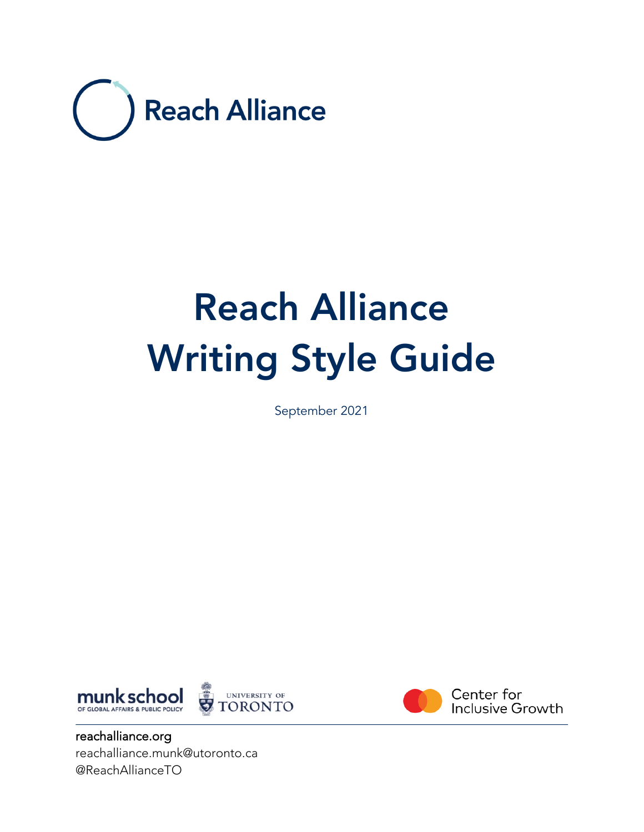

# Reach Alliance Writing Style Guide

September 2021





Center for **Inclusive Growth** 

reachalliance.org reachalliance.munk@utoronto.ca @ReachAllianceTO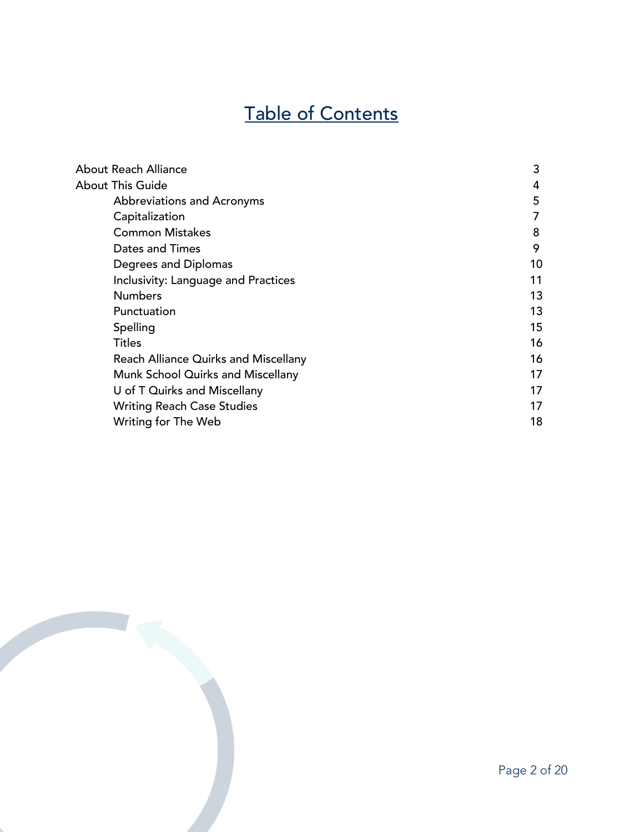# Table of Contents

| About Reach Alliance                 | 3  |
|--------------------------------------|----|
| About This Guide                     | 4  |
| Abbreviations and Acronyms           | 5  |
| Capitalization                       | 7  |
| <b>Common Mistakes</b>               | 8  |
| Dates and Times                      | 9  |
| Degrees and Diplomas                 | 10 |
| Inclusivity: Language and Practices  | 11 |
| <b>Numbers</b>                       | 13 |
| Punctuation                          | 13 |
| Spelling                             | 15 |
| Titles                               | 16 |
| Reach Alliance Quirks and Miscellany | 16 |
| Munk School Quirks and Miscellany    | 17 |
| U of T Quirks and Miscellany         | 17 |
| <b>Writing Reach Case Studies</b>    | 17 |
| Writing for The Web                  | 18 |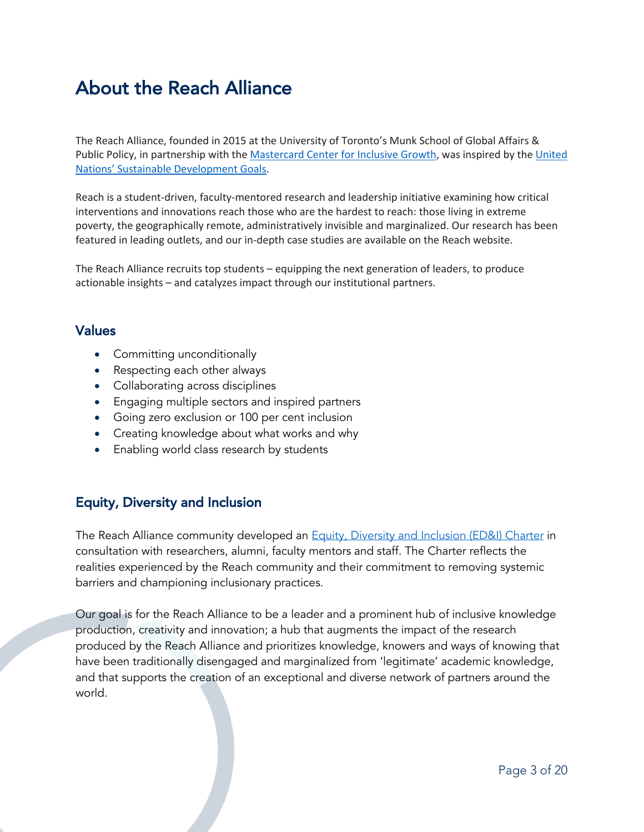### About the Reach Alliance

The Reach Alliance, founded in 2015 at the University of Toronto's Munk School of Global Affairs & Public Policy, in partnership with the [Mastercard Center for Inclusive Growth](https://www.mastercardcenter.org/press-releases/Built_for_All_a_global_framework_for_building_inclusive_economies), was inspired by the United [Nations' Sustainable Development Goals](https://sdgs.un.org/goals).

Reach is a student-driven, faculty-mentored research and leadership initiative examining how critical interventions and innovations reach those who are the hardest to reach: those living in extreme poverty, the geographically remote, administratively invisible and marginalized. Our research has been featured in leading outlets, and our in-depth case studies are available on the Reach website.

The Reach Alliance recruits top students – equipping the next generation of leaders, to produce actionable insights – and catalyzes impact through our institutional partners.

### Values

- Committing unconditionally
- Respecting each other always
- Collaborating across disciplines
- Engaging multiple sectors and inspired partners
- Going zero exclusion or 100 per cent inclusion
- Creating knowledge about what works and why
- Enabling world class research by students

### Equity, Diversity and Inclusion

The Reach Alliance community developed an **Equity, Diversity and Inclusion (ED&I)** Charter in consultation with researchers, alumni, faculty mentors and staff. The Charter reflects the realities experienced by the Reach community and their commitment to removing systemic barriers and championing inclusionary practices.

Our goal is for the Reach Alliance to be a leader and a prominent hub of inclusive knowledge production, creativity and innovation; a hub that augments the impact of the research produced by the Reach Alliance and prioritizes knowledge, knowers and ways of knowing that have been traditionally disengaged and marginalized from 'legitimate' academic knowledge, and that supports the creation of an exceptional and diverse network of partners around the world.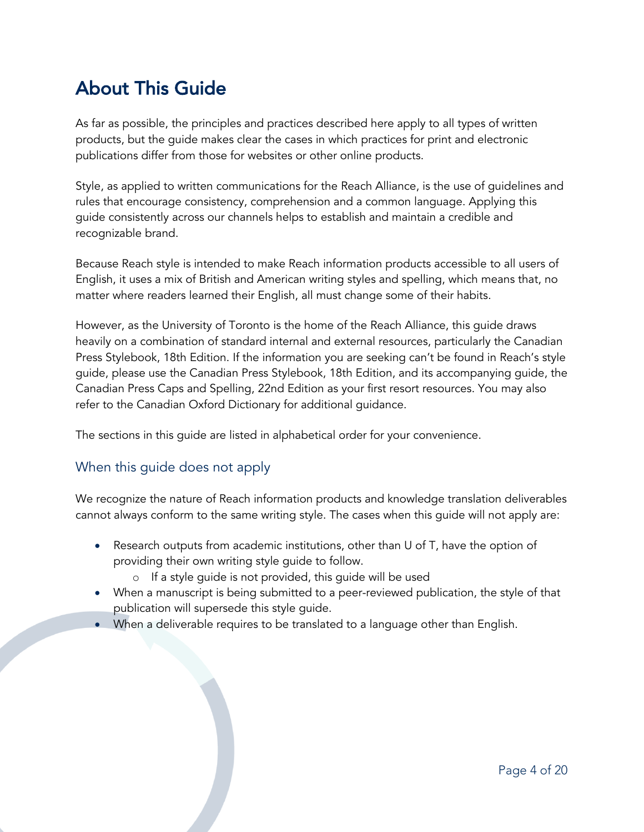# About This Guide

As far as possible, the principles and practices described here apply to all types of written products, but the guide makes clear the cases in which practices for print and electronic publications differ from those for websites or other online products.

Style, as applied to written communications for the Reach Alliance, is the use of guidelines and rules that encourage consistency, comprehension and a common language. Applying this guide consistently across our channels helps to establish and maintain a credible and recognizable brand.

Because Reach style is intended to make Reach information products accessible to all users of English, it uses a mix of British and American writing styles and spelling, which means that, no matter where readers learned their English, all must change some of their habits.

However, as the University of Toronto is the home of the Reach Alliance, this guide draws heavily on a combination of standard internal and external resources, particularly the Canadian Press Stylebook, 18th Edition. If the information you are seeking can't be found in Reach's style guide, please use the Canadian Press Stylebook, 18th Edition, and its accompanying guide, the Canadian Press Caps and Spelling, 22nd Edition as your first resort resources. You may also refer to the Canadian Oxford Dictionary for additional guidance.

The sections in this guide are listed in alphabetical order for your convenience.

### When this guide does not apply

We recognize the nature of Reach information products and knowledge translation deliverables cannot always conform to the same writing style. The cases when this guide will not apply are:

- Research outputs from academic institutions, other than U of T, have the option of providing their own writing style guide to follow.
	- o If a style guide is not provided, this guide will be used
- When a manuscript is being submitted to a peer-reviewed publication, the style of that publication will supersede this style guide.
- When a deliverable requires to be translated to a language other than English.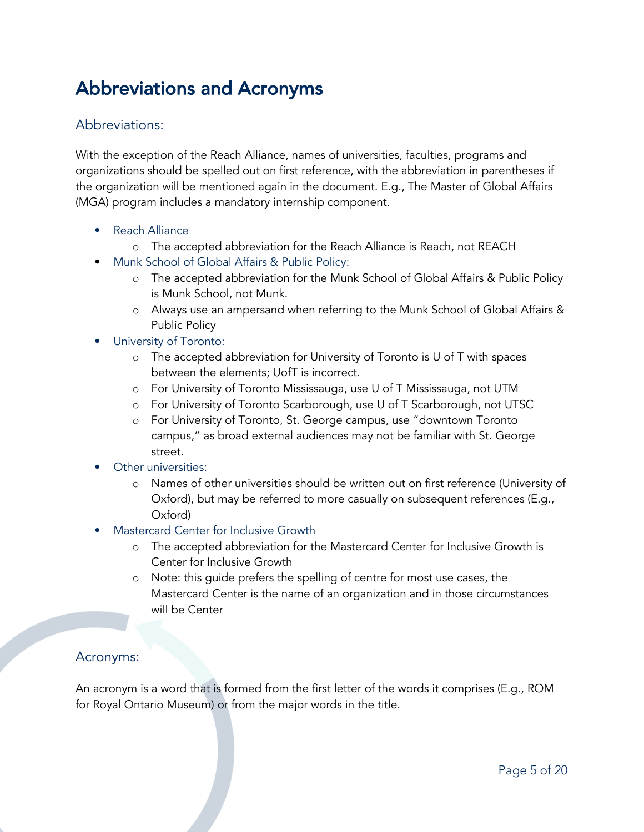# Abbreviations and Acronyms

### Abbreviations:

With the exception of the Reach Alliance, names of universities, faculties, programs and organizations should be spelled out on first reference, with the abbreviation in parentheses if the organization will be mentioned again in the document. E.g., The Master of Global Affairs (MGA) program includes a mandatory internship component.

- Reach Alliance
	- o The accepted abbreviation for the Reach Alliance is Reach, not REACH
- Munk School of Global Affairs & Public Policy:
	- o The accepted abbreviation for the Munk School of Global Affairs & Public Policy is Munk School, not Munk.
	- o Always use an ampersand when referring to the Munk School of Global Affairs & Public Policy
- University of Toronto:
	- o The accepted abbreviation for University of Toronto is U of T with spaces between the elements; UofT is incorrect.
	- o For University of Toronto Mississauga, use U of T Mississauga, not UTM
	- o For University of Toronto Scarborough, use U of T Scarborough, not UTSC
	- o For University of Toronto, St. George campus, use "downtown Toronto campus," as broad external audiences may not be familiar with St. George street.
- Other universities:
	- o Names of other universities should be written out on first reference (University of Oxford), but may be referred to more casually on subsequent references (E.g., Oxford)
- Mastercard Center for Inclusive Growth
	- o The accepted abbreviation for the Mastercard Center for Inclusive Growth is Center for Inclusive Growth
	- o Note: this guide prefers the spelling of centre for most use cases, the Mastercard Center is the name of an organization and in those circumstances will be Center

### Acronyms:

An acronym is a word that is formed from the first letter of the words it comprises (E.g., ROM for Royal Ontario Museum) or from the major words in the title.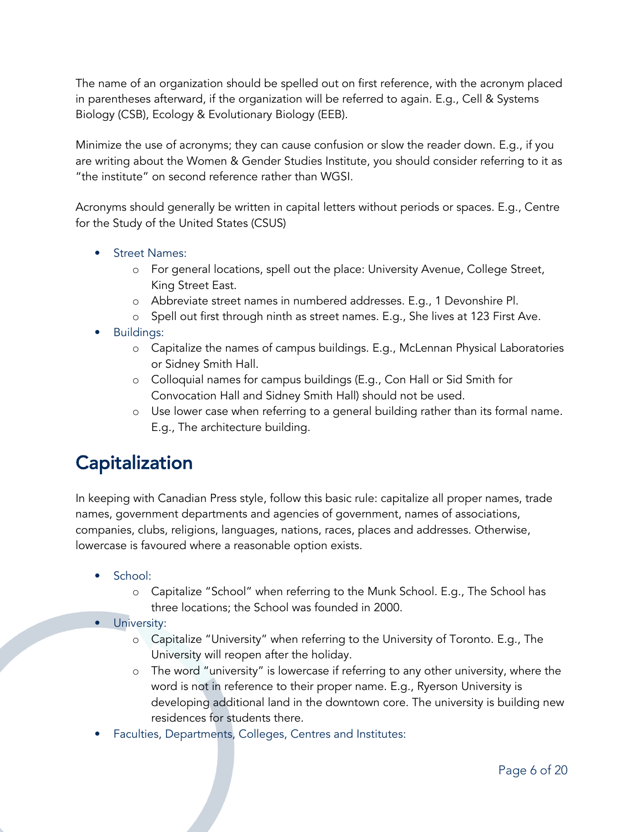The name of an organization should be spelled out on first reference, with the acronym placed in parentheses afterward, if the organization will be referred to again. E.g., Cell & Systems Biology (CSB), Ecology & Evolutionary Biology (EEB).

Minimize the use of acronyms; they can cause confusion or slow the reader down. E.g., if you are writing about the Women & Gender Studies Institute, you should consider referring to it as "the institute" on second reference rather than WGSI.

Acronyms should generally be written in capital letters without periods or spaces. E.g., Centre for the Study of the United States (CSUS)

- **Street Names:** 
	- o For general locations, spell out the place: University Avenue, College Street, King Street East.
	- o Abbreviate street names in numbered addresses. E.g., 1 Devonshire Pl.
	- o Spell out first through ninth as street names. E.g., She lives at 123 First Ave.
- Buildings:
	- o Capitalize the names of campus buildings. E.g., McLennan Physical Laboratories or Sidney Smith Hall.
	- o Colloquial names for campus buildings (E.g., Con Hall or Sid Smith for Convocation Hall and Sidney Smith Hall) should not be used.
	- o Use lower case when referring to a general building rather than its formal name. E.g., The architecture building.

# **Capitalization**

In keeping with Canadian Press style, follow this basic rule: capitalize all proper names, trade names, government departments and agencies of government, names of associations, companies, clubs, religions, languages, nations, races, places and addresses. Otherwise, lowercase is favoured where a reasonable option exists.

- School:
	- o Capitalize "School" when referring to the Munk School. E.g., The School has three locations; the School was founded in 2000.
- University:
	- o Capitalize "University" when referring to the University of Toronto. E.g., The University will reopen after the holiday.
	- o The word "university" is lowercase if referring to any other university, where the word is not in reference to their proper name. E.g., Ryerson University is developing additional land in the downtown core. The university is building new residences for students there.
- Faculties, Departments, Colleges, Centres and Institutes: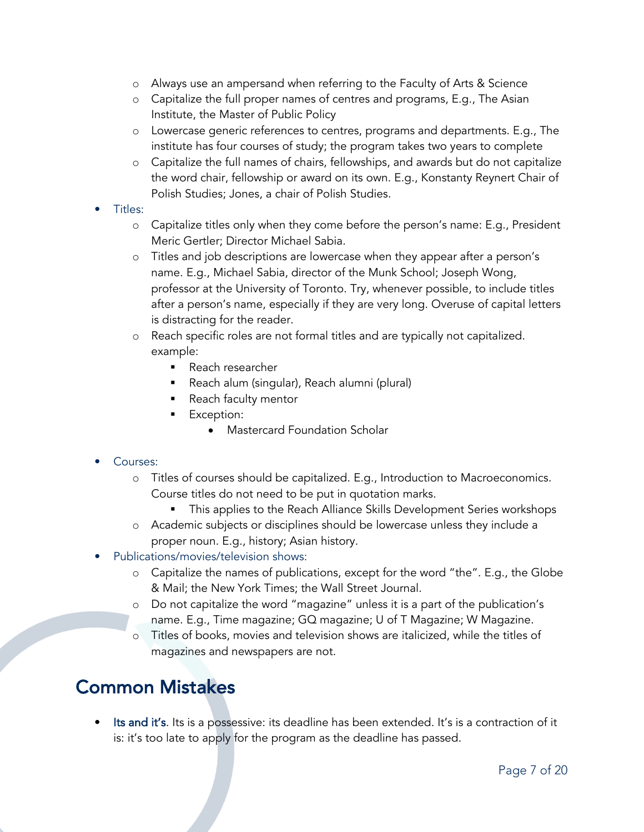- o Always use an ampersand when referring to the Faculty of Arts & Science
- o Capitalize the full proper names of centres and programs, E.g., The Asian Institute, the Master of Public Policy
- o Lowercase generic references to centres, programs and departments. E.g., The institute has four courses of study; the program takes two years to complete
- o Capitalize the full names of chairs, fellowships, and awards but do not capitalize the word chair, fellowship or award on its own. E.g., Konstanty Reynert Chair of Polish Studies; Jones, a chair of Polish Studies.
- Titles:
	- o Capitalize titles only when they come before the person's name: E.g., President Meric Gertler; Director Michael Sabia.
	- o Titles and job descriptions are lowercase when they appear after a person's name. E.g., Michael Sabia, director of the Munk School; Joseph Wong, professor at the University of Toronto. Try, whenever possible, to include titles after a person's name, especially if they are very long. Overuse of capital letters is distracting for the reader.
	- o Reach specific roles are not formal titles and are typically not capitalized. example:
		- Reach researcher
		- § Reach alum (singular), Reach alumni (plural)
		- Reach faculty mentor
		- Exception:
			- Mastercard Foundation Scholar

### • Courses:

- o Titles of courses should be capitalized. E.g., Introduction to Macroeconomics. Course titles do not need to be put in quotation marks.
	- § This applies to the Reach Alliance Skills Development Series workshops
- o Academic subjects or disciplines should be lowercase unless they include a proper noun. E.g., history; Asian history.
- Publications/movies/television shows:
	- o Capitalize the names of publications, except for the word "the". E.g., the Globe & Mail; the New York Times; the Wall Street Journal.
	- o Do not capitalize the word "magazine" unless it is a part of the publication's name. E.g., Time magazine; GQ magazine; U of T Magazine; W Magazine.
	- o Titles of books, movies and television shows are italicized, while the titles of magazines and newspapers are not.

# Common Mistakes

Its and it's. Its is a possessive: its deadline has been extended. It's is a contraction of it is: it's too late to apply for the program as the deadline has passed.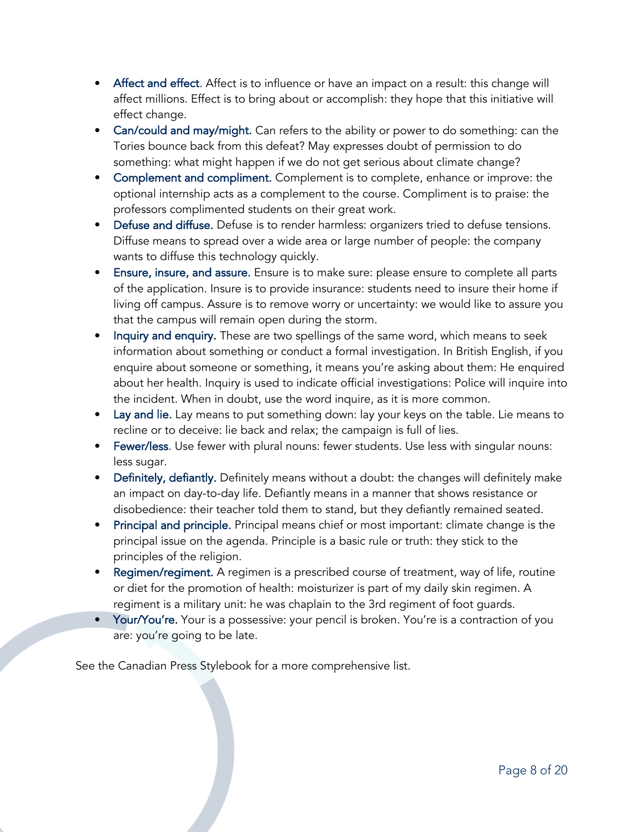- Affect and effect. Affect is to influence or have an impact on a result: this change will affect millions. Effect is to bring about or accomplish: they hope that this initiative will effect change.
- Can/could and may/might. Can refers to the ability or power to do something: can the Tories bounce back from this defeat? May expresses doubt of permission to do something: what might happen if we do not get serious about climate change?
- Complement and compliment. Complement is to complete, enhance or improve: the optional internship acts as a complement to the course. Compliment is to praise: the professors complimented students on their great work.
- Defuse and diffuse. Defuse is to render harmless: organizers tried to defuse tensions. Diffuse means to spread over a wide area or large number of people: the company wants to diffuse this technology quickly.
- Ensure, insure, and assure. Ensure is to make sure: please ensure to complete all parts of the application. Insure is to provide insurance: students need to insure their home if living off campus. Assure is to remove worry or uncertainty: we would like to assure you that the campus will remain open during the storm.
- Inquiry and enquiry. These are two spellings of the same word, which means to seek information about something or conduct a formal investigation. In British English, if you enquire about someone or something, it means you're asking about them: He enquired about her health. Inquiry is used to indicate official investigations: Police will inquire into the incident. When in doubt, use the word inquire, as it is more common.
- Lay and lie. Lay means to put something down: lay your keys on the table. Lie means to recline or to deceive: lie back and relax; the campaign is full of lies.
- Fewer/less. Use fewer with plural nouns: fewer students. Use less with singular nouns: less sugar.
- Definitely, defiantly. Definitely means without a doubt: the changes will definitely make an impact on day-to-day life. Defiantly means in a manner that shows resistance or disobedience: their teacher told them to stand, but they defiantly remained seated.
- Principal and principle. Principal means chief or most important: climate change is the principal issue on the agenda. Principle is a basic rule or truth: they stick to the principles of the religion.
- Regimen/regiment. A regimen is a prescribed course of treatment, way of life, routine or diet for the promotion of health: moisturizer is part of my daily skin regimen. A regiment is a military unit: he was chaplain to the 3rd regiment of foot guards.
- Your/You're. Your is a possessive: your pencil is broken. You're is a contraction of you are: you're going to be late.

See the Canadian Press Stylebook for a more comprehensive list.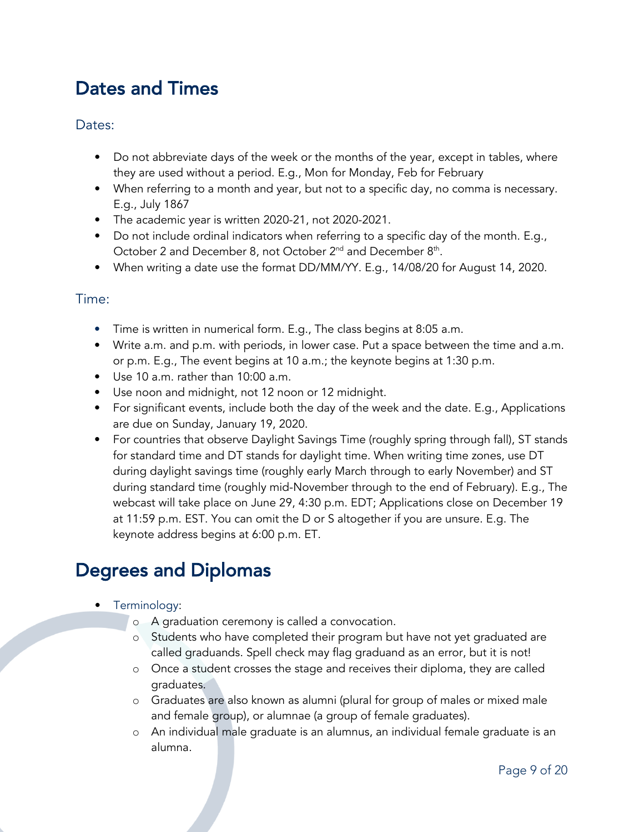# Dates and Times

### Dates:

- Do not abbreviate days of the week or the months of the year, except in tables, where they are used without a period. E.g., Mon for Monday, Feb for February
- When referring to a month and year, but not to a specific day, no comma is necessary. E.g., July 1867
- The academic year is written 2020-21, not 2020-2021.
- Do not include ordinal indicators when referring to a specific day of the month. E.g., October 2 and December 8, not October 2<sup>nd</sup> and December 8<sup>th</sup>.
- When writing a date use the format DD/MM/YY. E.g., 14/08/20 for August 14, 2020.

### Time:

- Time is written in numerical form. E.g., The class begins at 8:05 a.m.
- Write a.m. and p.m. with periods, in lower case. Put a space between the time and a.m. or p.m. E.g., The event begins at 10 a.m.; the keynote begins at 1:30 p.m.
- Use 10 a.m. rather than 10:00 a.m.
- Use noon and midnight, not 12 noon or 12 midnight.
- For significant events, include both the day of the week and the date. E.g., Applications are due on Sunday, January 19, 2020.
- For countries that observe Daylight Savings Time (roughly spring through fall), ST stands for standard time and DT stands for daylight time. When writing time zones, use DT during daylight savings time (roughly early March through to early November) and ST during standard time (roughly mid-November through to the end of February). E.g., The webcast will take place on June 29, 4:30 p.m. EDT; Applications close on December 19 at 11:59 p.m. EST. You can omit the D or S altogether if you are unsure. E.g. The keynote address begins at 6:00 p.m. ET.

# Degrees and Diplomas

- Terminology:
	- o A graduation ceremony is called a convocation.
	- o Students who have completed their program but have not yet graduated are called graduands. Spell check may flag graduand as an error, but it is not!
	- o Once a student crosses the stage and receives their diploma, they are called graduates.
	- o Graduates are also known as alumni (plural for group of males or mixed male and female group), or alumnae (a group of female graduates).
	- o An individual male graduate is an alumnus, an individual female graduate is an alumna.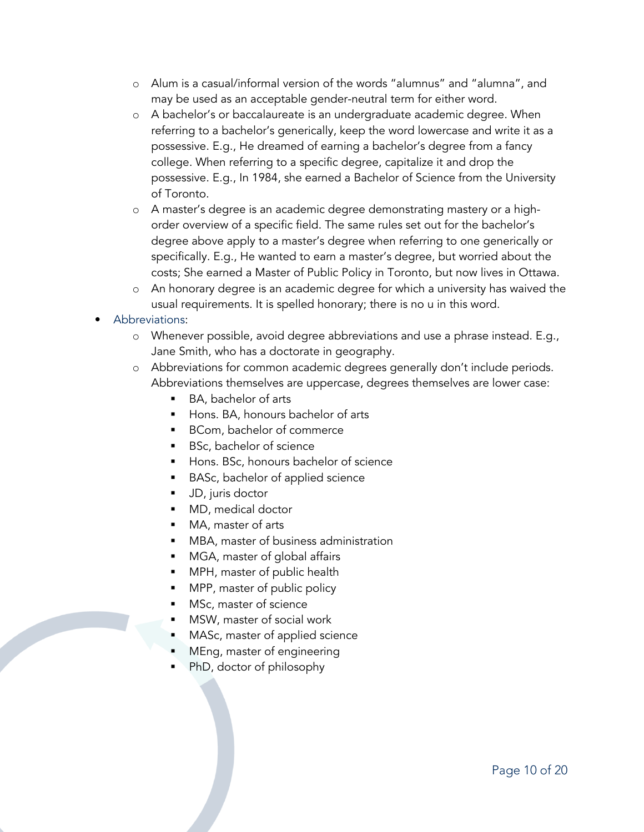- o Alum is a casual/informal version of the words "alumnus" and "alumna", and may be used as an acceptable gender-neutral term for either word.
- o A bachelor's or baccalaureate is an undergraduate academic degree. When referring to a bachelor's generically, keep the word lowercase and write it as a possessive. E.g., He dreamed of earning a bachelor's degree from a fancy college. When referring to a specific degree, capitalize it and drop the possessive. E.g., In 1984, she earned a Bachelor of Science from the University of Toronto.
- o A master's degree is an academic degree demonstrating mastery or a highorder overview of a specific field. The same rules set out for the bachelor's degree above apply to a master's degree when referring to one generically or specifically. E.g., He wanted to earn a master's degree, but worried about the costs; She earned a Master of Public Policy in Toronto, but now lives in Ottawa.
- o An honorary degree is an academic degree for which a university has waived the usual requirements. It is spelled honorary; there is no u in this word.
- Abbreviations:
	- o Whenever possible, avoid degree abbreviations and use a phrase instead. E.g., Jane Smith, who has a doctorate in geography.
	- o Abbreviations for common academic degrees generally don't include periods. Abbreviations themselves are uppercase, degrees themselves are lower case:
		- § BA, bachelor of arts
		- Hons. BA, honours bachelor of arts
		- BCom, bachelor of commerce
		- BSc, bachelor of science
		- Hons. BSc, honours bachelor of science
		- BASc, bachelor of applied science
		- JD, juris doctor
		- § MD, medical doctor
		- MA, master of arts
		- MBA, master of business administration
		- MGA, master of global affairs
		- MPH, master of public health
		- MPP, master of public policy
		- MSc, master of science
		- § MSW, master of social work
		- MASc, master of applied science
		- § MEng, master of engineering
		- § PhD, doctor of philosophy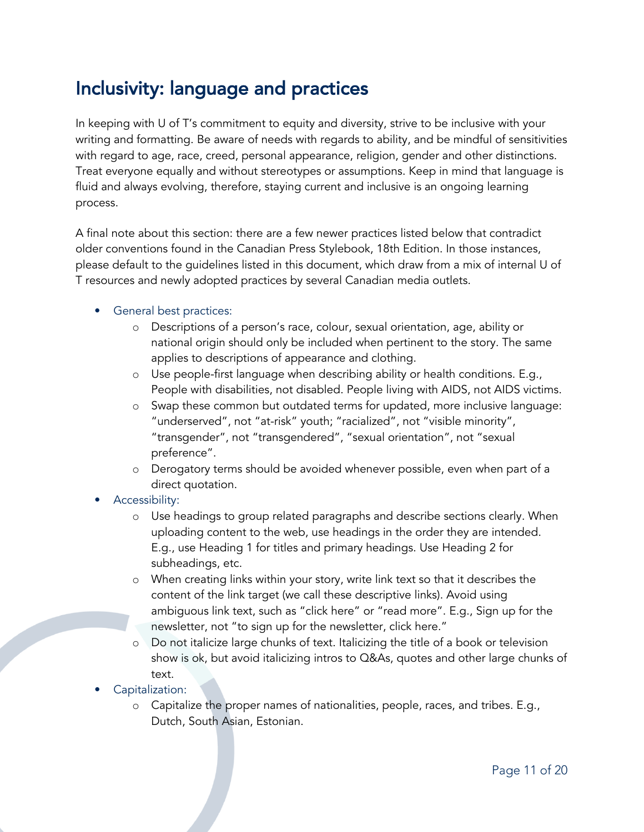# Inclusivity: language and practices

In keeping with U of T's commitment to equity and diversity, strive to be inclusive with your writing and formatting. Be aware of needs with regards to ability, and be mindful of sensitivities with regard to age, race, creed, personal appearance, religion, gender and other distinctions. Treat everyone equally and without stereotypes or assumptions. Keep in mind that language is fluid and always evolving, therefore, staying current and inclusive is an ongoing learning process.

A final note about this section: there are a few newer practices listed below that contradict older conventions found in the Canadian Press Stylebook, 18th Edition. In those instances, please default to the guidelines listed in this document, which draw from a mix of internal U of T resources and newly adopted practices by several Canadian media outlets.

#### • General best practices:

- o Descriptions of a person's race, colour, sexual orientation, age, ability or national origin should only be included when pertinent to the story. The same applies to descriptions of appearance and clothing.
- o Use people-first language when describing ability or health conditions. E.g., People with disabilities, not disabled. People living with AIDS, not AIDS victims.
- o Swap these common but outdated terms for updated, more inclusive language: "underserved", not "at-risk" youth; "racialized", not "visible minority", "transgender", not "transgendered", "sexual orientation", not "sexual preference".
- o Derogatory terms should be avoided whenever possible, even when part of a direct quotation.

#### • Accessibility:

- o Use headings to group related paragraphs and describe sections clearly. When uploading content to the web, use headings in the order they are intended. E.g., use Heading 1 for titles and primary headings. Use Heading 2 for subheadings, etc.
- o When creating links within your story, write link text so that it describes the content of the link target (we call these descriptive links). Avoid using ambiguous link text, such as "click here" or "read more". E.g., Sign up for the newsletter, not "to sign up for the newsletter, click here."
- o Do not italicize large chunks of text. Italicizing the title of a book or television show is ok, but avoid italicizing intros to Q&As, quotes and other large chunks of text.
- Capitalization:
	- o Capitalize the proper names of nationalities, people, races, and tribes. E.g., Dutch, South Asian, Estonian.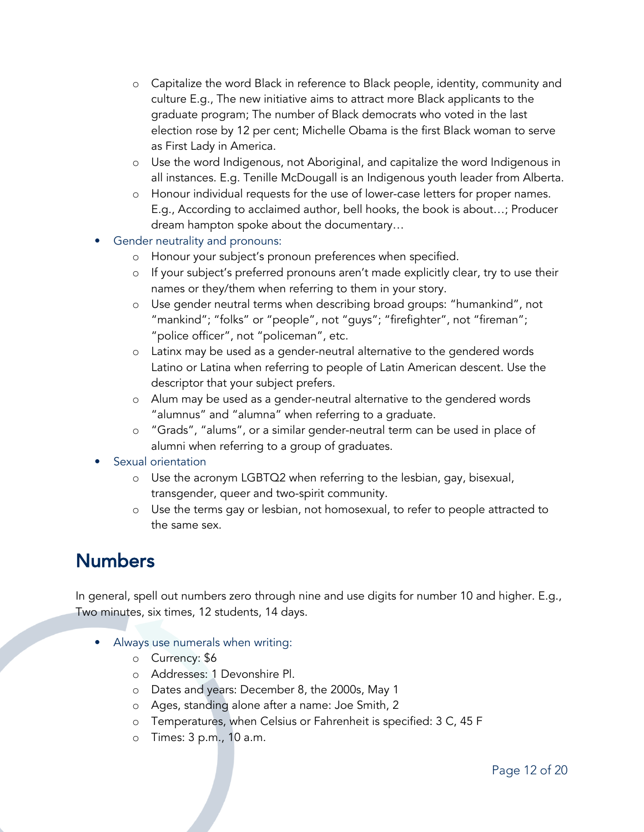- o Capitalize the word Black in reference to Black people, identity, community and culture E.g., The new initiative aims to attract more Black applicants to the graduate program; The number of Black democrats who voted in the last election rose by 12 per cent; Michelle Obama is the first Black woman to serve as First Lady in America.
- o Use the word Indigenous, not Aboriginal, and capitalize the word Indigenous in all instances. E.g. Tenille McDougall is an Indigenous youth leader from Alberta.
- o Honour individual requests for the use of lower-case letters for proper names. E.g., According to acclaimed author, bell hooks, the book is about…; Producer dream hampton spoke about the documentary…
- Gender neutrality and pronouns:
	- o Honour your subject's pronoun preferences when specified.
	- o If your subject's preferred pronouns aren't made explicitly clear, try to use their names or they/them when referring to them in your story.
	- o Use gender neutral terms when describing broad groups: "humankind", not "mankind"; "folks" or "people", not "guys"; "firefighter", not "fireman"; "police officer", not "policeman", etc.
	- o Latinx may be used as a gender-neutral alternative to the gendered words Latino or Latina when referring to people of Latin American descent. Use the descriptor that your subject prefers.
	- o Alum may be used as a gender-neutral alternative to the gendered words "alumnus" and "alumna" when referring to a graduate.
	- o "Grads", "alums", or a similar gender-neutral term can be used in place of alumni when referring to a group of graduates.

#### Sexual orientation

- o Use the acronym LGBTQ2 when referring to the lesbian, gay, bisexual, transgender, queer and two-spirit community.
- Use the terms gay or lesbian, not homosexual, to refer to people attracted to the same sex.

### Numbers

In general, spell out numbers zero through nine and use digits for number 10 and higher. E.g., Two minutes, six times, 12 students, 14 days.

- Always use numerals when writing:
	- o Currency: \$6
	- o Addresses: 1 Devonshire Pl.
	- o Dates and years: December 8, the 2000s, May 1
	- o Ages, standing alone after a name: Joe Smith, 2
	- o Temperatures, when Celsius or Fahrenheit is specified: 3 C, 45 F
	- o Times: 3 p.m., 10 a.m.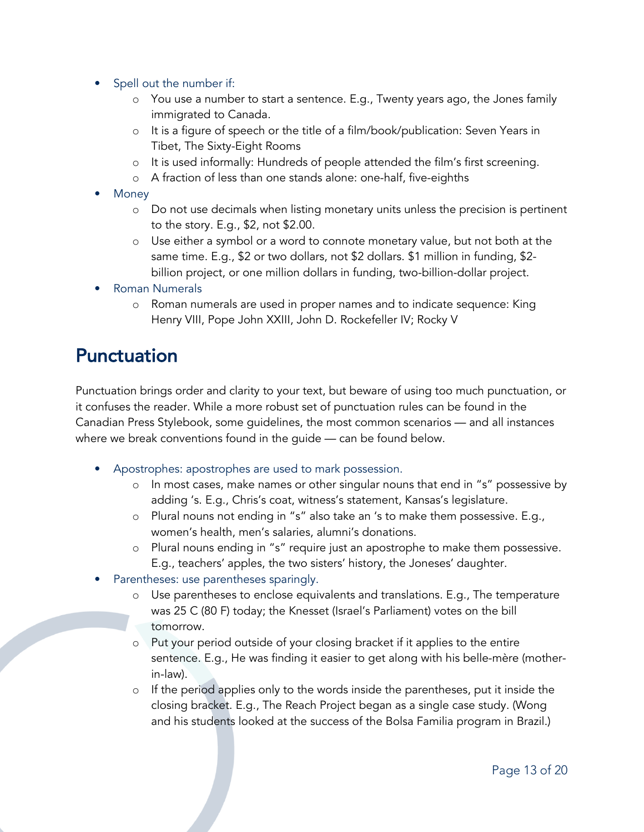- Spell out the number if:
	- You use a number to start a sentence. E.g., Twenty years ago, the Jones family immigrated to Canada.
	- o It is a figure of speech or the title of a film/book/publication: Seven Years in Tibet, The Sixty-Eight Rooms
	- o It is used informally: Hundreds of people attended the film's first screening.
	- o A fraction of less than one stands alone: one-half, five-eighths
- Money
	- o Do not use decimals when listing monetary units unless the precision is pertinent to the story. E.g., \$2, not \$2.00.
	- o Use either a symbol or a word to connote monetary value, but not both at the same time. E.g., \$2 or two dollars, not \$2 dollars. \$1 million in funding, \$2 billion project, or one million dollars in funding, two-billion-dollar project.
- Roman Numerals
	- o Roman numerals are used in proper names and to indicate sequence: King Henry VIII, Pope John XXIII, John D. Rockefeller IV; Rocky V

### Punctuation

Punctuation brings order and clarity to your text, but beware of using too much punctuation, or it confuses the reader. While a more robust set of punctuation rules can be found in the Canadian Press Stylebook, some guidelines, the most common scenarios — and all instances where we break conventions found in the guide — can be found below.

- Apostrophes: apostrophes are used to mark possession.
	- In most cases, make names or other singular nouns that end in "s" possessive by adding 's. E.g., Chris's coat, witness's statement, Kansas's legislature.
	- o Plural nouns not ending in "s" also take an 's to make them possessive. E.g., women's health, men's salaries, alumni's donations.
	- o Plural nouns ending in "s" require just an apostrophe to make them possessive. E.g., teachers' apples, the two sisters' history, the Joneses' daughter.
- Parentheses: use parentheses sparingly.
	- o Use parentheses to enclose equivalents and translations. E.g., The temperature was 25 C (80 F) today; the Knesset (Israel's Parliament) votes on the bill tomorrow.
	- o Put your period outside of your closing bracket if it applies to the entire sentence. E.g., He was finding it easier to get along with his belle-mère (motherin-law).
	- o If the period applies only to the words inside the parentheses, put it inside the closing bracket. E.g., The Reach Project began as a single case study. (Wong and his students looked at the success of the Bolsa Familia program in Brazil.)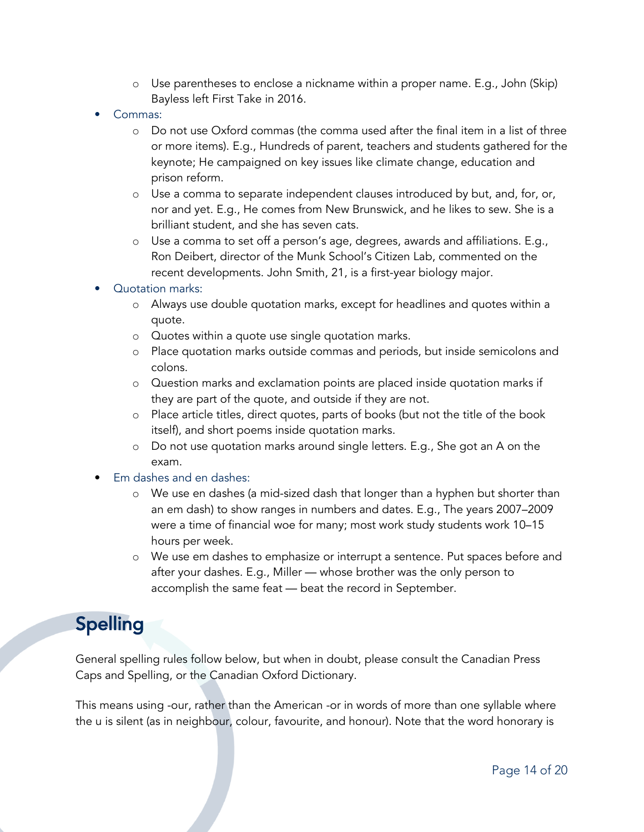- o Use parentheses to enclose a nickname within a proper name. E.g., John (Skip) Bayless left First Take in 2016.
- Commas:
	- o Do not use Oxford commas (the comma used after the final item in a list of three or more items). E.g., Hundreds of parent, teachers and students gathered for the keynote; He campaigned on key issues like climate change, education and prison reform.
	- o Use a comma to separate independent clauses introduced by but, and, for, or, nor and yet. E.g., He comes from New Brunswick, and he likes to sew. She is a brilliant student, and she has seven cats.
	- o Use a comma to set off a person's age, degrees, awards and affiliations. E.g., Ron Deibert, director of the Munk School's Citizen Lab, commented on the recent developments. John Smith, 21, is a first-year biology major.

#### • Quotation marks:

- o Always use double quotation marks, except for headlines and quotes within a quote.
- o Quotes within a quote use single quotation marks.
- o Place quotation marks outside commas and periods, but inside semicolons and colons.
- o Question marks and exclamation points are placed inside quotation marks if they are part of the quote, and outside if they are not.
- o Place article titles, direct quotes, parts of books (but not the title of the book itself), and short poems inside quotation marks.
- o Do not use quotation marks around single letters. E.g., She got an A on the exam.
- Em dashes and en dashes:
	- o We use en dashes (a mid-sized dash that longer than a hyphen but shorter than an em dash) to show ranges in numbers and dates. E.g., The years 2007–2009 were a time of financial woe for many; most work study students work 10–15 hours per week.
	- o We use em dashes to emphasize or interrupt a sentence. Put spaces before and after your dashes. E.g., Miller — whose brother was the only person to accomplish the same feat — beat the record in September.

### Spelling

General spelling rules follow below, but when in doubt, please consult the Canadian Press Caps and Spelling, or the Canadian Oxford Dictionary.

This means using -our, rather than the American -or in words of more than one syllable where the u is silent (as in neighbour, colour, favourite, and honour). Note that the word honorary is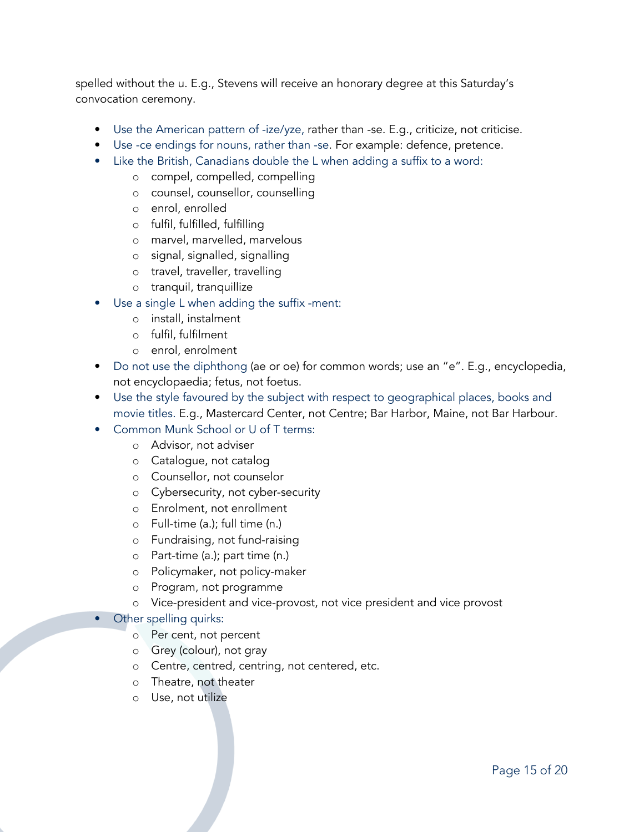spelled without the u. E.g., Stevens will receive an honorary degree at this Saturday's convocation ceremony.

- Use the American pattern of -ize/yze, rather than -se. E.g., criticize, not criticise.
- Use -ce endings for nouns, rather than -se. For example: defence, pretence.
- Like the British, Canadians double the L when adding a suffix to a word:
	- o compel, compelled, compelling
	- o counsel, counsellor, counselling
	- o enrol, enrolled
	- o fulfil, fulfilled, fulfilling
	- o marvel, marvelled, marvelous
	- o signal, signalled, signalling
	- o travel, traveller, travelling
	- o tranquil, tranquillize
- Use a single L when adding the suffix -ment:
	- o install, instalment
	- o fulfil, fulfilment
	- o enrol, enrolment
- Do not use the diphthong (ae or oe) for common words; use an "e". E.g., encyclopedia, not encyclopaedia; fetus, not foetus.
- Use the style favoured by the subject with respect to geographical places, books and movie titles. E.g., Mastercard Center, not Centre; Bar Harbor, Maine, not Bar Harbour.
- Common Munk School or U of T terms:
	- o Advisor, not adviser
	- o Catalogue, not catalog
	- o Counsellor, not counselor
	- o Cybersecurity, not cyber-security
	- o Enrolment, not enrollment
	- o Full-time (a.); full time (n.)
	- o Fundraising, not fund-raising
	- o Part-time (a.); part time (n.)
	- o Policymaker, not policy-maker
	- o Program, not programme
	- o Vice-president and vice-provost, not vice president and vice provost

#### • Other spelling quirks:

- o Per cent, not percent
- o Grey (colour), not gray
- o Centre, centred, centring, not centered, etc.
- o Theatre, not theater
- o Use, not utilize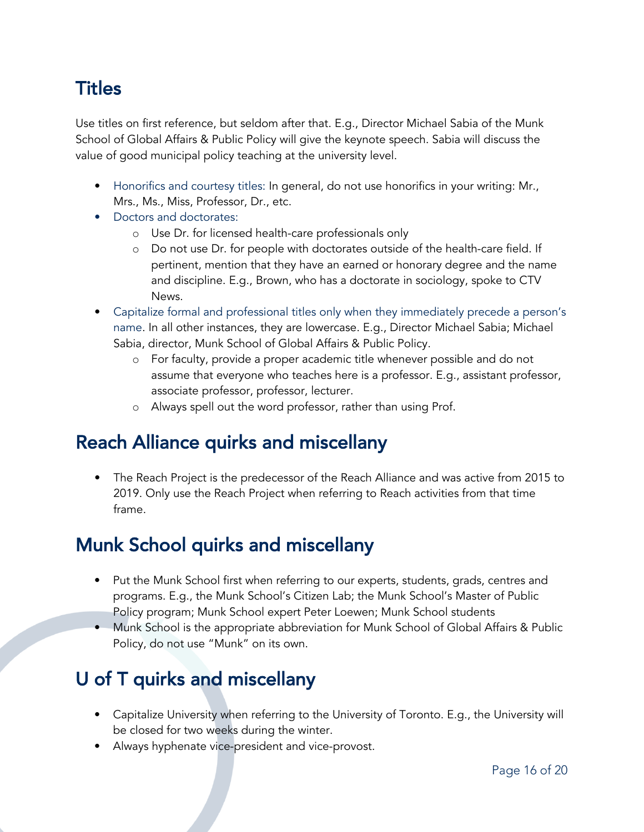# **Titles**

Use titles on first reference, but seldom after that. E.g., Director Michael Sabia of the Munk School of Global Affairs & Public Policy will give the keynote speech. Sabia will discuss the value of good municipal policy teaching at the university level.

- Honorifics and courtesy titles: In general, do not use honorifics in your writing: Mr., Mrs., Ms., Miss, Professor, Dr., etc.
- Doctors and doctorates:
	- o Use Dr. for licensed health-care professionals only
	- o Do not use Dr. for people with doctorates outside of the health-care field. If pertinent, mention that they have an earned or honorary degree and the name and discipline. E.g., Brown, who has a doctorate in sociology, spoke to CTV News.
- Capitalize formal and professional titles only when they immediately precede a person's name. In all other instances, they are lowercase. E.g., Director Michael Sabia; Michael Sabia, director, Munk School of Global Affairs & Public Policy.
	- o For faculty, provide a proper academic title whenever possible and do not assume that everyone who teaches here is a professor. E.g., assistant professor, associate professor, professor, lecturer.
	- o Always spell out the word professor, rather than using Prof.

### Reach Alliance quirks and miscellany

• The Reach Project is the predecessor of the Reach Alliance and was active from 2015 to 2019. Only use the Reach Project when referring to Reach activities from that time frame.

# Munk School quirks and miscellany

- Put the Munk School first when referring to our experts, students, grads, centres and programs. E.g., the Munk School's Citizen Lab; the Munk School's Master of Public Policy program; Munk School expert Peter Loewen; Munk School students
- Munk School is the appropriate abbreviation for Munk School of Global Affairs & Public Policy, do not use "Munk" on its own.

# U of T quirks and miscellany

- Capitalize University when referring to the University of Toronto. E.g., the University will be closed for two weeks during the winter.
- Always hyphenate vice-president and vice-provost.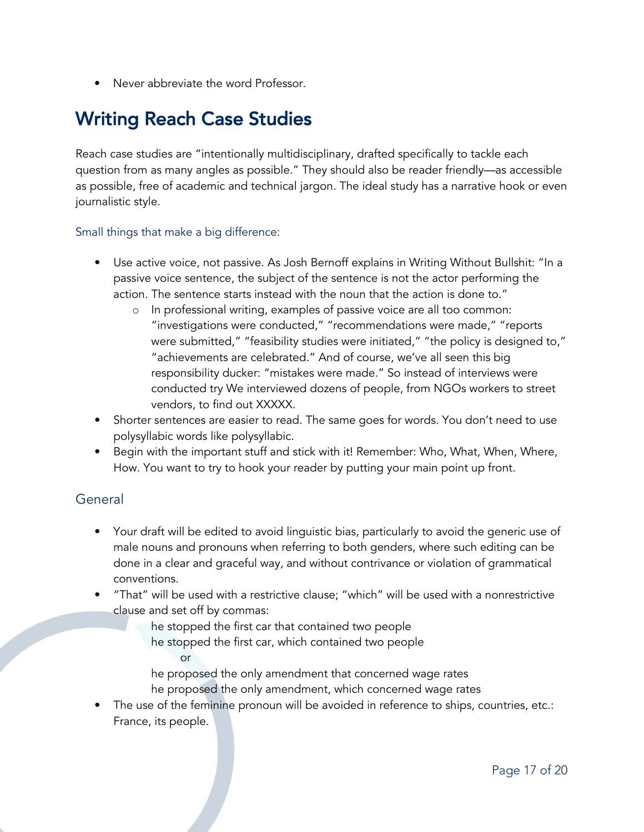• Never abbreviate the word Professor.

# Writing Reach Case Studies

Reach case studies are "intentionally multidisciplinary, drafted specifically to tackle each question from as many angles as possible." They should also be reader friendly—as accessible as possible, free of academic and technical jargon. The ideal study has a narrative hook or even journalistic style.

#### Small things that make a big difference:

- Use active voice, not passive. As Josh Bernoff explains in Writing Without Bullshit: "In a passive voice sentence, the subject of the sentence is not the actor performing the action. The sentence starts instead with the noun that the action is done to."
	- o In professional writing, examples of passive voice are all too common: "investigations were conducted," "recommendations were made," "reports were submitted," "feasibility studies were initiated," "the policy is designed to," "achievements are celebrated." And of course, we've all seen this big responsibility ducker: "mistakes were made." So instead of interviews were conducted try We interviewed dozens of people, from NGOs workers to street vendors, to find out XXXXX.
- Shorter sentences are easier to read. The same goes for words. You don't need to use polysyllabic words like polysyllabic.
- Begin with the important stuff and stick with it! Remember: Who, What, When, Where, How. You want to try to hook your reader by putting your main point up front.

### General

- Your draft will be edited to avoid linguistic bias, particularly to avoid the generic use of male nouns and pronouns when referring to both genders, where such editing can be done in a clear and graceful way, and without contrivance or violation of grammatical conventions.
- "That" will be used with a restrictive clause; "which" will be used with a nonrestrictive clause and set off by commas:

he stopped the first car that contained two people he stopped the first car, which contained two people or

he proposed the only amendment that concerned wage rates he proposed the only amendment, which concerned wage rates

The use of the feminine pronoun will be avoided in reference to ships, countries, etc.: France, its people.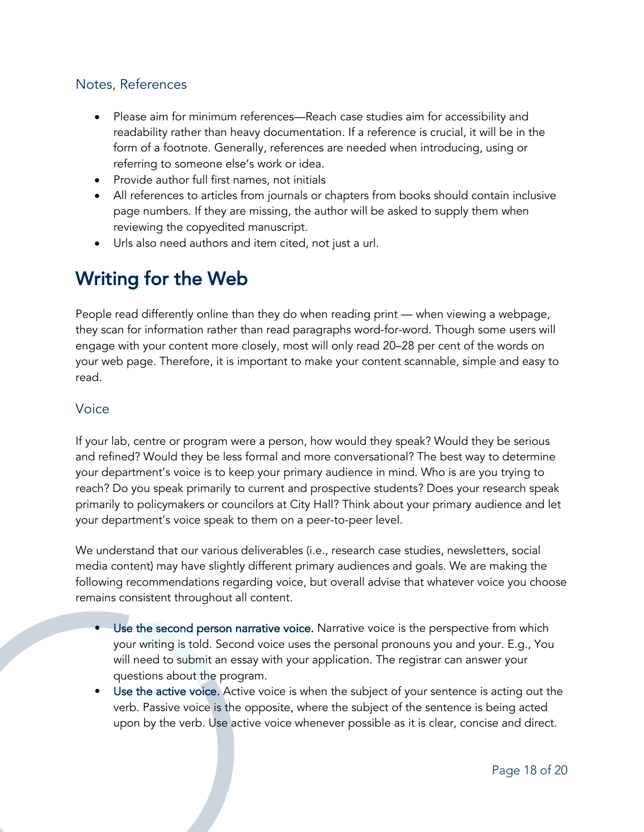### Notes, References

- Please aim for minimum references—Reach case studies aim for accessibility and readability rather than heavy documentation. If a reference is crucial, it will be in the form of a footnote. Generally, references are needed when introducing, using or referring to someone else's work or idea.
- Provide author full first names, not initials
- All references to articles from journals or chapters from books should contain inclusive page numbers. If they are missing, the author will be asked to supply them when reviewing the copyedited manuscript.
- Urls also need authors and item cited, not just a url.

# Writing for the Web

People read differently online than they do when reading print — when viewing a webpage, they scan for information rather than read paragraphs word-for-word. Though some users will engage with your content more closely, most will only read 20–28 per cent of the words on your web page. Therefore, it is important to make your content scannable, simple and easy to read.

### Voice

If your lab, centre or program were a person, how would they speak? Would they be serious and refined? Would they be less formal and more conversational? The best way to determine your department's voice is to keep your primary audience in mind. Who is are you trying to reach? Do you speak primarily to current and prospective students? Does your research speak primarily to policymakers or councilors at City Hall? Think about your primary audience and let your department's voice speak to them on a peer-to-peer level.

We understand that our various deliverables (i.e., research case studies, newsletters, social media content) may have slightly different primary audiences and goals. We are making the following recommendations regarding voice, but overall advise that whatever voice you choose remains consistent throughout all content.

- Use the second person narrative voice. Narrative voice is the perspective from which your writing is told. Second voice uses the personal pronouns you and your. E.g., You will need to submit an essay with your application. The registrar can answer your questions about the program.
- Use the active voice. Active voice is when the subject of your sentence is acting out the verb. Passive voice is the opposite, where the subject of the sentence is being acted upon by the verb. Use active voice whenever possible as it is clear, concise and direct.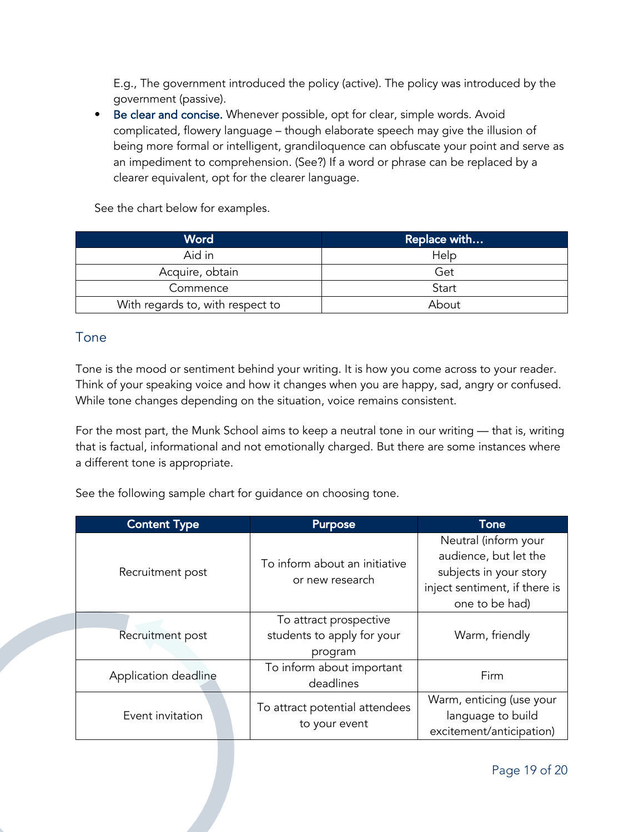E.g., The government introduced the policy (active). The policy was introduced by the government (passive).

• Be clear and concise. Whenever possible, opt for clear, simple words. Avoid complicated, flowery language – though elaborate speech may give the illusion of being more formal or intelligent, grandiloquence can obfuscate your point and serve as an impediment to comprehension. (See?) If a word or phrase can be replaced by a clearer equivalent, opt for the clearer language.

See the chart below for examples.

| Word                             | Replace with |  |
|----------------------------------|--------------|--|
| Aid in                           | Help         |  |
| Acquire, obtain                  | Get          |  |
| Commence                         | Start        |  |
| With regards to, with respect to | About        |  |

### Tone

Tone is the mood or sentiment behind your writing. It is how you come across to your reader. Think of your speaking voice and how it changes when you are happy, sad, angry or confused. While tone changes depending on the situation, voice remains consistent.

For the most part, the Munk School aims to keep a neutral tone in our writing — that is, writing that is factual, informational and not emotionally charged. But there are some instances where a different tone is appropriate.

See the following sample chart for guidance on choosing tone.

| <b>Content Type</b>  | <b>Purpose</b>                                                  | Tone                                                                                                                       |
|----------------------|-----------------------------------------------------------------|----------------------------------------------------------------------------------------------------------------------------|
| Recruitment post     | To inform about an initiative<br>or new research                | Neutral (inform your<br>audience, but let the<br>subjects in your story<br>inject sentiment, if there is<br>one to be had) |
| Recruitment post     | To attract prospective<br>students to apply for your<br>program | Warm, friendly                                                                                                             |
| Application deadline | To inform about important<br>deadlines                          | Firm                                                                                                                       |
| Event invitation     | To attract potential attendees<br>to your event                 | Warm, enticing (use your<br>language to build<br>excitement/anticipation)                                                  |